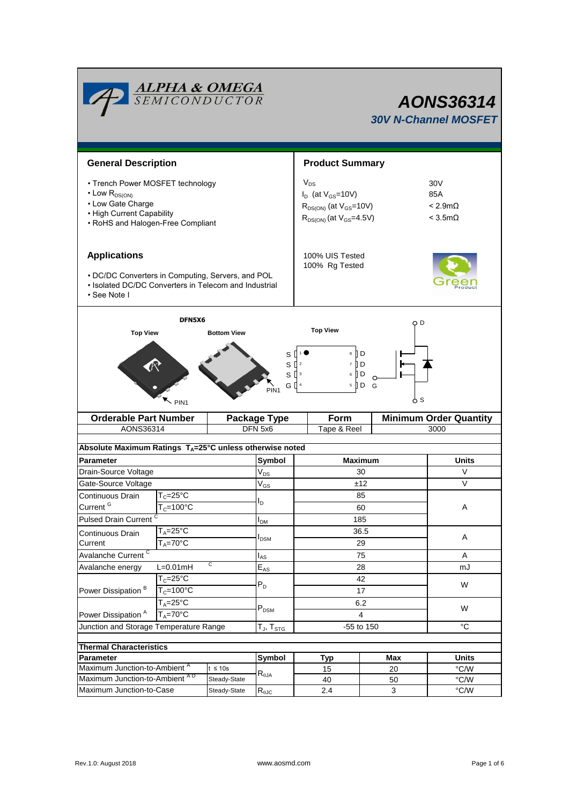|                                                                                                                                                                                                                       | <b>ALPHA &amp; OMEGA</b><br>SEMICONDUCTOR |                    |                                                                                                             | AONS36314<br><b>30V N-Channel MOSFET</b> |                                                               |               |  |  |
|-----------------------------------------------------------------------------------------------------------------------------------------------------------------------------------------------------------------------|-------------------------------------------|--------------------|-------------------------------------------------------------------------------------------------------------|------------------------------------------|---------------------------------------------------------------|---------------|--|--|
| <b>General Description</b>                                                                                                                                                                                            |                                           |                    |                                                                                                             | <b>Product Summary</b>                   |                                                               |               |  |  |
| • Trench Power MOSFET technology<br>• Low $R_{DS(ON)}$<br>• Low Gate Charge<br>• High Current Capability<br>• RoHS and Halogen-Free Compliant                                                                         |                                           |                    | $V_{DS}$<br>$I_D$ (at $V_{GS}$ =10V)<br>$R_{DS(ON)}$ (at $V_{GS}$ =10V)<br>$R_{DS(ON)}$ (at $V_{GS}$ =4.5V) |                                          | 30 <sub>V</sub><br>85A<br>$< 2.9m\Omega$<br>$<$ 3.5m $\Omega$ |               |  |  |
| <b>Applications</b><br>• DC/DC Converters in Computing, Servers, and POL<br>• Isolated DC/DC Converters in Telecom and Industrial<br>• See Note I                                                                     |                                           |                    | 100% UIS Tested<br>100% Rg Tested                                                                           |                                          |                                                               |               |  |  |
| <b>Top View</b>                                                                                                                                                                                                       | DFN5X6                                    | <b>Bottom View</b> |                                                                                                             | <b>Top View</b>                          | O D                                                           |               |  |  |
| $8 \Box$<br>s [<br>D<br>$S^{\Box}$<br>7 II D<br>$S^{13}$<br>∏ D<br>6<br>G ∏ 4<br>$5 \parallel D$<br>G<br>PIN <sub>1</sub><br>y s<br>PIN <sub>1</sub><br><b>Minimum Order Quantity</b><br><b>Orderable Part Number</b> |                                           |                    |                                                                                                             |                                          |                                                               |               |  |  |
| AONS36314                                                                                                                                                                                                             |                                           |                    | <b>Package Type</b><br>DFN 5x6                                                                              | Form<br>Tape & Reel                      | 3000                                                          |               |  |  |
| Absolute Maximum Ratings TA=25°C unless otherwise noted                                                                                                                                                               |                                           |                    |                                                                                                             |                                          |                                                               |               |  |  |
| <b>Parameter</b>                                                                                                                                                                                                      |                                           |                    | Symbol                                                                                                      |                                          | <b>Maximum</b>                                                | <b>Units</b>  |  |  |
| Drain-Source Voltage                                                                                                                                                                                                  |                                           |                    | $V_{DS}$                                                                                                    | 30                                       |                                                               | V             |  |  |
| Gate-Source Voltage                                                                                                                                                                                                   |                                           |                    | $\mathsf{V}_{\mathsf{GS}}$                                                                                  | ±12                                      |                                                               | $\vee$        |  |  |
| Continuous Drain                                                                                                                                                                                                      | $T_c = 25^\circ C$                        |                    |                                                                                                             | 85                                       |                                                               |               |  |  |
| Current <sup>G</sup>                                                                                                                                                                                                  | $T_c = 100^{\circ}$ C                     |                    | l <sub>D</sub>                                                                                              | 60                                       | Α                                                             |               |  |  |
| <b>Pulsed Drain Current</b>                                                                                                                                                                                           |                                           |                    | I <sub>DM</sub>                                                                                             | 185                                      |                                                               |               |  |  |
| Continuous Drain                                                                                                                                                                                                      | $T_A = 25$ °C                             |                    |                                                                                                             |                                          | 36.5                                                          | Α             |  |  |
| Current                                                                                                                                                                                                               | $T_A = 70^\circ C$                        |                    | I <sub>DSM</sub>                                                                                            |                                          | 29                                                            |               |  |  |
| Avalanche Current <sup>C</sup>                                                                                                                                                                                        |                                           |                    | $I_{AS}$                                                                                                    |                                          | 75                                                            | A             |  |  |
| Avalanche energy                                                                                                                                                                                                      | $L=0.01mH$                                | С                  | $\mathsf{E}_{\mathsf{AS}}$                                                                                  |                                          | 28                                                            | mJ            |  |  |
|                                                                                                                                                                                                                       | $T_c = 25$ °C                             |                    | $P_D$                                                                                                       |                                          | 42                                                            | W             |  |  |
| Power Dissipation <sup>B</sup>                                                                                                                                                                                        | $\overline{T}_C = 100^{\circ}C$           |                    |                                                                                                             |                                          | 17                                                            |               |  |  |
|                                                                                                                                                                                                                       | $T_A = 25^\circ C$                        |                    | $P_{DSM}$                                                                                                   |                                          | 6.2                                                           | W             |  |  |
| Power Dissipation <sup>A</sup>                                                                                                                                                                                        | $T_A = 70^\circ C$                        |                    |                                                                                                             |                                          | $\overline{4}$                                                |               |  |  |
| Junction and Storage Temperature Range                                                                                                                                                                                |                                           |                    | $T_J$ , $T_{STG}$                                                                                           |                                          | $-55$ to 150                                                  | °C            |  |  |
| <b>Thermal Characteristics</b>                                                                                                                                                                                        |                                           |                    |                                                                                                             |                                          |                                                               |               |  |  |
| Parameter                                                                                                                                                                                                             |                                           |                    | Symbol                                                                                                      | <b>Typ</b>                               | <b>Max</b>                                                    | <b>Units</b>  |  |  |
| Maximum Junction-to-Ambient <sup>A</sup>                                                                                                                                                                              |                                           | $t \leq 10s$       |                                                                                                             | 15                                       | 20                                                            | °C/W          |  |  |
| Maximum Junction-to-Ambient AD                                                                                                                                                                                        |                                           | Steady-State       | $\mathsf{R}_{\theta \mathsf{JA}}$                                                                           | 40                                       | 50                                                            | $\degree$ C/W |  |  |
|                                                                                                                                                                                                                       | Maximum Junction-to-Case<br>Steady-State  |                    | $R_{\theta JC}$                                                                                             | 2.4                                      | 3                                                             | °C/W          |  |  |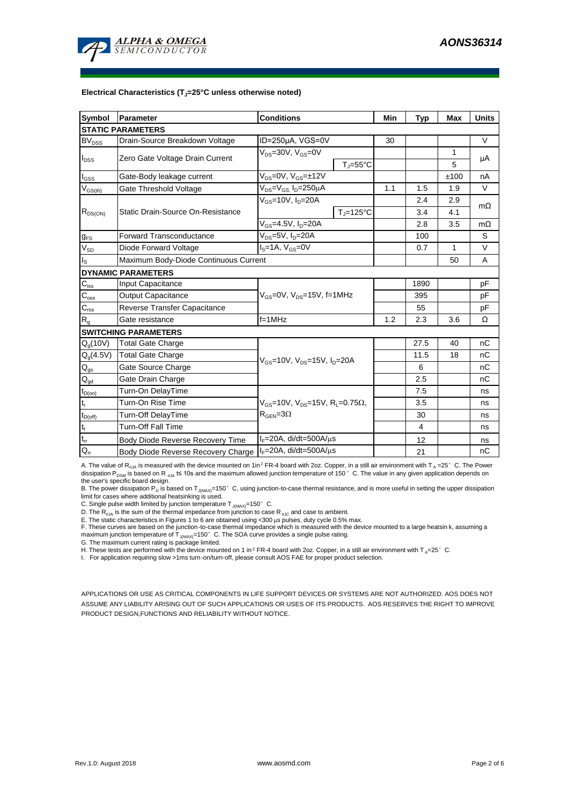

#### **Electrical Characteristics (TJ=25°C unless otherwise noted)**

| Symbol                                 | Parameter                                                  | <b>Conditions</b>                                               |                                | Min  | <b>Typ</b>     | <b>Max</b> | <b>Units</b> |
|----------------------------------------|------------------------------------------------------------|-----------------------------------------------------------------|--------------------------------|------|----------------|------------|--------------|
|                                        | <b>STATIC PARAMETERS</b>                                   |                                                                 |                                |      |                |            |              |
| $BV_{DSS}$                             | Drain-Source Breakdown Voltage                             | ID=250µA, VGS=0V                                                |                                | 30   |                |            | $\vee$       |
|                                        | Zero Gate Voltage Drain Current                            | $V_{DS}$ =30V, $V_{GS}$ =0V                                     |                                |      | 1              |            |              |
| $I_{DSS}$                              |                                                            |                                                                 | $T_{\parallel} = 55^{\circ}$ C |      |                | 5          | μA           |
| $I_{GSS}$                              | Gate-Body leakage current                                  | $V_{DS} = 0V$ , $V_{GS} = \pm 12V$                              |                                |      |                | ±100       | nA           |
| $\rm V_{\rm GS(th)}$                   | Gate Threshold Voltage                                     | $V_{DS} = V_{GS}$ , $I_D = 250 \mu A$                           |                                | 1.1  | 1.5            | 1.9        | $\vee$       |
|                                        |                                                            | $V_{GS}$ =10V, $I_D$ =20A                                       |                                |      | 2.4            | 2.9        | $m\Omega$    |
| $R_{DS(ON)}$                           | Static Drain-Source On-Resistance                          |                                                                 | $T_i = 125$ °C                 |      | 3.4            | 4.1        |              |
|                                        |                                                            | $V_{GS}$ =4.5V, $I_D$ =20A                                      |                                |      | 2.8            | 3.5        | $m\Omega$    |
| $g_{FS}$                               | <b>Forward Transconductance</b>                            | $V_{DS} = 5V$ , $I_D = 20A$                                     |                                |      | 100            |            | S            |
| $V_{SD}$                               | Diode Forward Voltage                                      | $IS=1A, VGS=0V$                                                 |                                | 0.7  | 1              | $\vee$     |              |
| I <sub>s</sub>                         | Maximum Body-Diode Continuous Current                      |                                                                 |                                |      | 50             | A          |              |
|                                        | <b>DYNAMIC PARAMETERS</b>                                  |                                                                 |                                |      |                |            |              |
| $C_{\text{iss}}$                       | Input Capacitance                                          |                                                                 |                                | 1890 |                | pF         |              |
| $\mathsf{C}_{\mathrm{oss}}$            | <b>Output Capacitance</b>                                  | $V_{\text{GS}} = 0V$ , $V_{\text{DS}} = 15V$ , f=1MHz           |                                |      | 395            |            | рF           |
| $C_{\text{rss}}$                       | Reverse Transfer Capacitance                               |                                                                 |                                |      | 55             |            | pF           |
| $R_{g}$                                | Gate resistance                                            | $f=1MHz$                                                        |                                | 1.2  | 2.3            | 3.6        | Ω            |
|                                        | <b>SWITCHING PARAMETERS</b>                                |                                                                 |                                |      |                |            |              |
| $Q_q(10V)$                             | <b>Total Gate Charge</b>                                   |                                                                 |                                |      | 27.5           | 40         | nC           |
| $Q_g(4.5V)$                            | <b>Total Gate Charge</b>                                   | $V_{\text{GS}}$ =10V, $V_{\text{DS}}$ =15V, $I_{\text{D}}$ =20A |                                |      | 11.5           | 18         | nC           |
| $\mathsf{Q}_{\text{gs}}$               | Gate Source Charge                                         |                                                                 |                                |      | 6              |            | nC           |
| $\mathsf{Q}_{\underline{\mathsf{gd}}}$ | Gate Drain Charge                                          |                                                                 |                                |      | 2.5            |            | nC           |
| $t_{D(on)}$                            | Turn-On DelayTime                                          |                                                                 |                                |      | 7.5            |            | ns           |
| $t_{\rm r}$                            | Turn-On Rise Time                                          | $V_{GS}$ =10V, $V_{DS}$ =15V, R <sub>L</sub> =0.75 $\Omega$ ,   |                                |      | 3.5            |            | ns           |
| $t_{D(off)}$                           | <b>Turn-Off DelayTime</b>                                  | $R_{\text{GEN}} = 3\Omega$                                      |                                |      | 30             |            | ns           |
| $\mathsf{t}_{\mathsf{f}}$              | <b>Turn-Off Fall Time</b>                                  |                                                                 |                                |      | $\overline{4}$ |            | ns           |
| $\mathsf{t}_{\mathsf{rr}}$             | Body Diode Reverse Recovery Time                           | $I_F = 20A$ , di/dt=500A/ $\mu$ s                               |                                |      | 12             |            | ns           |
| $Q_{rr}$                               | Body Diode Reverse Recovery Charge   IF=20A, di/dt=500A/µs |                                                                 |                                |      | 21             |            | nC           |

A. The value of R<sub>0JA</sub> is measured with the device mounted on 1in<sup>2</sup> FR-4 board with 2oz. Copper, in a still air environment with T<sub>A</sub> =25°C. The Power dissipation P<sub>DSM</sub> is based on R <sub>0JA</sub> t≤ 10s and the maximum allowed junction temperature of 150°C. The value in any given application depends on

the user's specific board design.<br>B. The power dissipation P<sub>D</sub> is based on T<sub>J(MAX)</sub>=150° C, using junction-to-case thermal resistance, and is more useful in setting the upper dissipation<br>limit for cases where additional

C. Single pulse width limited by junction temperature  $T_{J(MAX)}$ =150°C.

D. The  $R_{\theta JA}$  is the sum of the thermal impedance from junction to case R  $_{\theta JC}$  and case to ambient.

E. The static characteristics in Figures 1 to 6 are obtained using <300 µs pulses, duty cycle 0.5% max.

F. These curves are based on the junction-to-case thermal impedance which is measured with the device mounted to a large heatsin k, assuming a

maximum junction temperature of  $T_{J(MAX)}$ =150°C. The SOA curve provides a single pulse rating.

G. The maximum current rating is package limited.

H. These tests are performed with the device mounted on 1 in <sup>2</sup> FR-4 board with 2oz. Copper, in a still air environment with T  $_A=25^\circ$  C.

I. For application requiring slow >1ms turn-on/turn-off, please consult AOS FAE for proper product selection.

APPLICATIONS OR USE AS CRITICAL COMPONENTS IN LIFE SUPPORT DEVICES OR SYSTEMS ARE NOT AUTHORIZED. AOS DOES NOT ASSUME ANY LIABILITY ARISING OUT OF SUCH APPLICATIONS OR USES OF ITS PRODUCTS. AOS RESERVES THE RIGHT TO IMPROVE PRODUCT DESIGN,FUNCTIONS AND RELIABILITY WITHOUT NOTICE.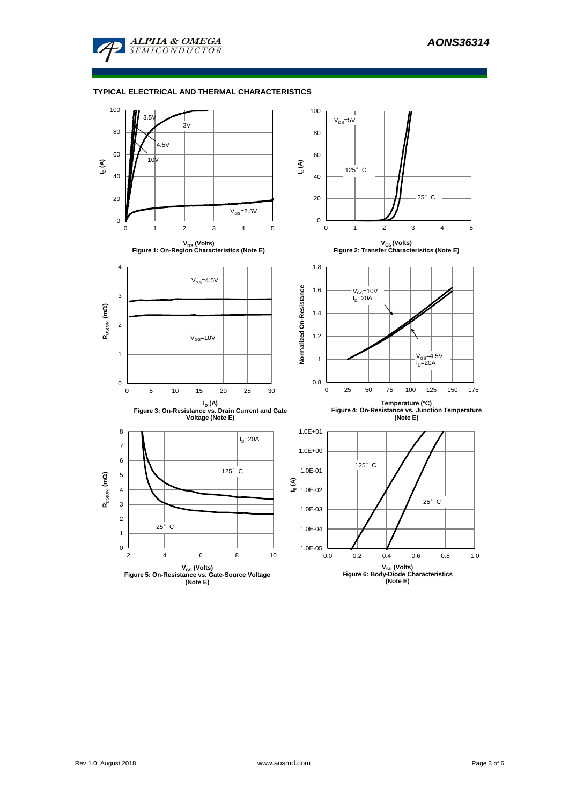

## **TYPICAL ELECTRICAL AND THERMAL CHARACTERISTICS**

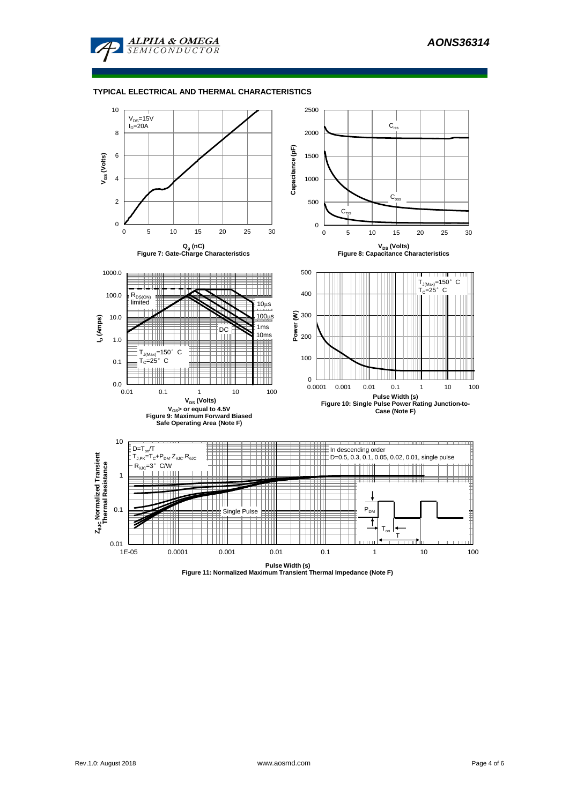

#### **TYPICAL ELECTRICAL AND THERMAL CHARACTERISTICS**



**Pulse Width (s) Figure 11: Normalized Maximum Transient Thermal Impedance (Note F)**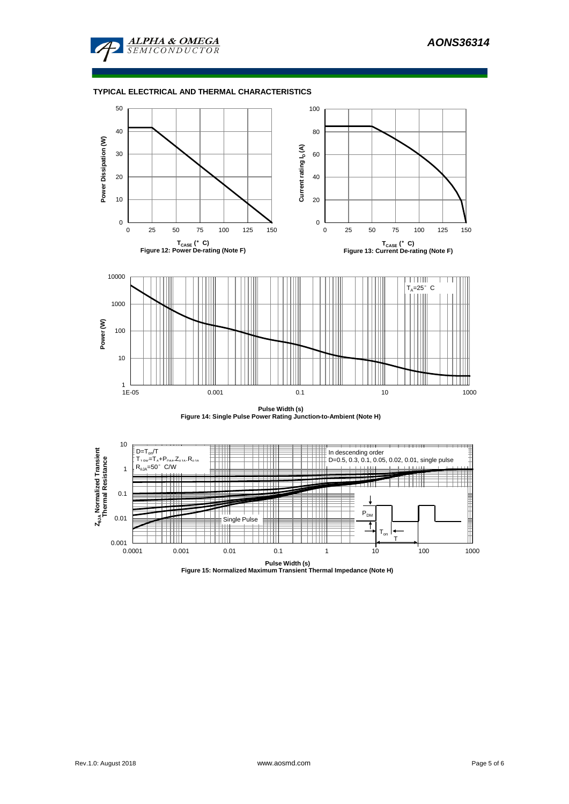

## **TYPICAL ELECTRICAL AND THERMAL CHARACTERISTICS**



**Pulse Width (s) Figure 14: Single Pulse Power Rating Junction-to-Ambient (Note H)**

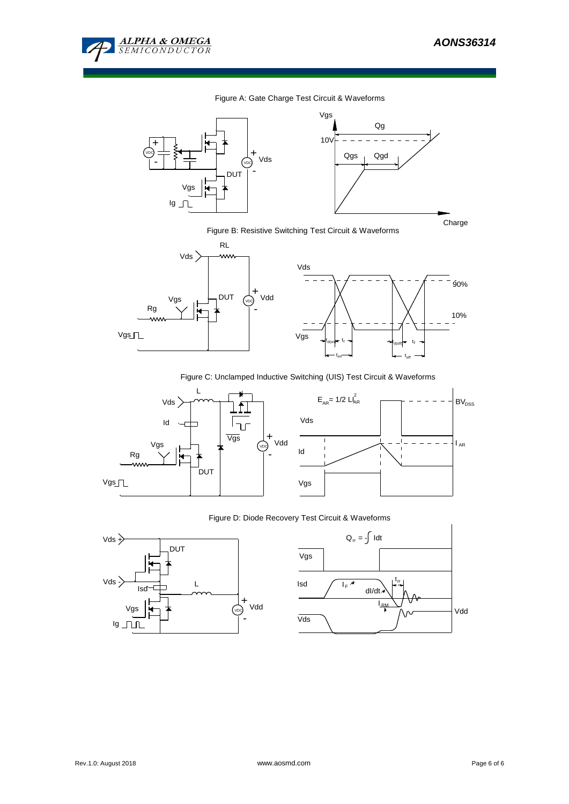

## Figure A: Gate Charge Test Circuit & Waveforms



Figure B: Resistive Switching Test Circuit & Waveforms



Figure C: Unclamped Inductive Switching (UIS) Test Circuit & Waveforms

on





'of

## Figure D: Diode Recovery Test Circuit & Waveforms



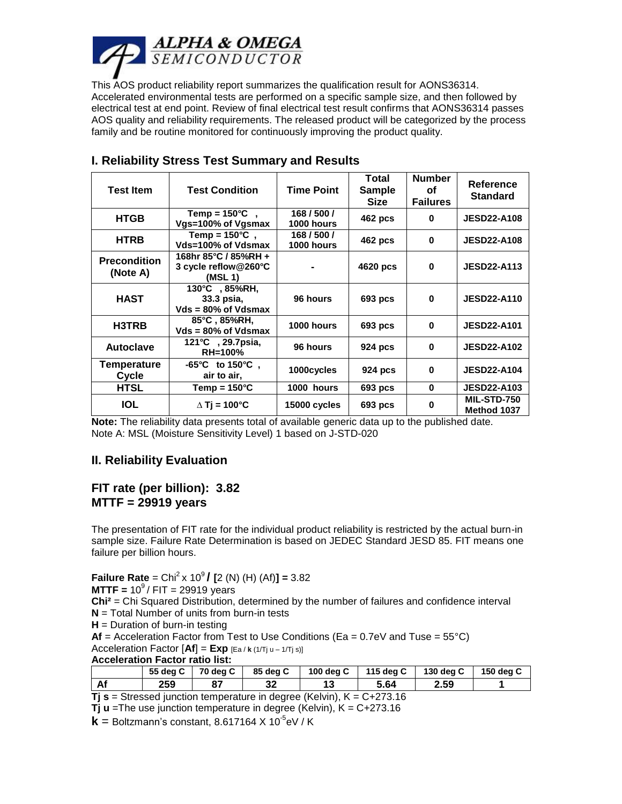

This AOS product reliability report summarizes the qualification result for AONS36314. Accelerated environmental tests are performed on a specific sample size, and then followed by electrical test at end point. Review of final electrical test result confirms that AONS36314 passes AOS quality and reliability requirements. The released product will be categorized by the process family and be routine monitored for continuously improving the product quality.

| <b>Test Item</b>                | <b>Test Condition</b>                                   | <b>Time Point</b><br><b>Sample</b> |                | <b>Number</b><br>Οf<br><b>Failures</b> | Reference<br><b>Standard</b>      |
|---------------------------------|---------------------------------------------------------|------------------------------------|----------------|----------------------------------------|-----------------------------------|
| <b>HTGB</b>                     | Temp = $150^{\circ}$ C,<br>Vgs=100% of Vgsmax           | 168/500/<br>1000 hours             | <b>462 pcs</b> | 0                                      | <b>JESD22-A108</b>                |
| <b>HTRB</b>                     | Temp = $150^{\circ}$ C,<br>Vds=100% of Vdsmax           | 168/500/<br>1000 hours             | 462 pcs        | 0                                      | <b>JESD22-A108</b>                |
| <b>Precondition</b><br>(Note A) | 168hr 85°C / 85%RH +<br>3 cycle reflow@260°C<br>(MSL 1) |                                    | 4620 pcs       | 0                                      | <b>JESD22-A113</b>                |
| <b>HAST</b>                     | 130°C , 85%RH,<br>33.3 psia,<br>$Vds = 80\%$ of Vdsmax  | 96 hours                           | 693 pcs        | 0                                      | <b>JESD22-A110</b>                |
| H3TRB                           | 85°C, 85%RH,<br>$Vds = 80\%$ of Vdsmax                  | 1000 hours                         | 693 pcs        | $\bf{0}$                               | <b>JESD22-A101</b>                |
| <b>Autoclave</b>                | 121 $\degree$ C, 29.7psia,<br><b>RH=100%</b>            | 96 hours                           | 924 pcs        | $\bf{0}$                               | <b>JESD22-A102</b>                |
| Temperature<br>Cycle            | $-65^{\circ}$ C to 150 $^{\circ}$ C.<br>air to air,     | 1000cycles                         | 924 pcs        | 0                                      | <b>JESD22-A104</b>                |
| <b>HTSL</b>                     | Temp = $150^{\circ}$ C                                  | 1000 hours                         | 693 pcs        | $\bf{0}$                               | <b>JESD22-A103</b>                |
| <b>IOL</b>                      | $\triangle$ Ti = 100°C                                  | 15000 cycles                       | 693 pcs        | 0                                      | <b>MIL-STD-750</b><br>Method 1037 |

# **I. Reliability Stress Test Summary and Results**

**Note:** The reliability data presents total of available generic data up to the published date. Note A: MSL (Moisture Sensitivity Level) 1 based on J-STD-020

# **II. Reliability Evaluation**

## **FIT rate (per billion): 3.82 MTTF = 29919 years**

The presentation of FIT rate for the individual product reliability is restricted by the actual burn-in sample size. Failure Rate Determination is based on JEDEC Standard JESD 85. FIT means one failure per billion hours.

**Failure Rate** = Chi<sup>2</sup> x 10<sup>9</sup> **/** [2 (N) (H) (Af)] = 3.82

**MTTF** = 
$$
10^9 / FIT = 29919
$$
 years

**Chi²** = Chi Squared Distribution, determined by the number of failures and confidence interval **N** = Total Number of units from burn-in tests

**H** = Duration of burn-in testing

 $Af = Acceleration Factor from Test to Use Conditions (Ea = 0.7eV and Tuse = 55°C)$ Acceleration Factor  $[Af] = Exp$   $[Eq / k(1/Tj] u - 1/Tj s]$ 

**Acceleration Factor ratio list:**

|                                                                                  |     | 55 dea C   70 dea C | 85 dea C |  | 100 deg C   115 deg C   130 deg C |      | 150 dea C |  |  |
|----------------------------------------------------------------------------------|-----|---------------------|----------|--|-----------------------------------|------|-----------|--|--|
| Af                                                                               | 259 |                     | 32       |  | 5.64                              | 2.59 |           |  |  |
| <b>Tj s</b> = Stressed junction temperature in degree (Kelvin), $K = C + 273.16$ |     |                     |          |  |                                   |      |           |  |  |

**Tj u** =The use junction temperature in degree (Kelvin), K = C+273.16

 $\mathbf{k}$  = Boltzmann's constant, 8.617164 X 10<sup>-5</sup>eV / K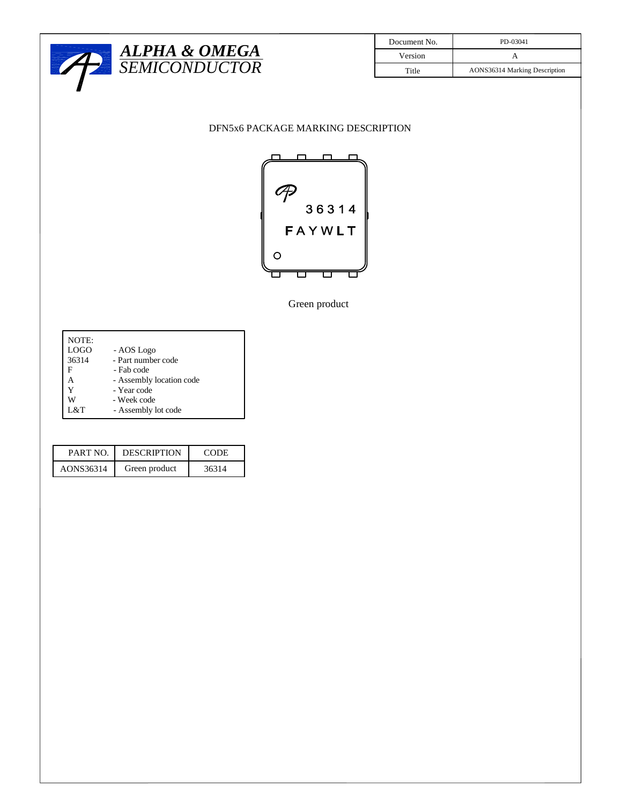

| Document No. | PD-03041                      |  |  |  |
|--------------|-------------------------------|--|--|--|
| Version      |                               |  |  |  |
| Title        | AONS36314 Marking Description |  |  |  |

## DFN5x6 PACKAGE MARKING DESCRIPTION



Green product

| NOTE: |                          |
|-------|--------------------------|
| LOGO  | - AOS Logo               |
| 36314 | - Part number code       |
| F     | - Fab code               |
| А     | - Assembly location code |
| Y     | - Year code              |
|       | - Week code              |
| L&T   | - Assembly lot code      |

| PART NO.  | <b>DESCRIPTION</b> | CODE  |
|-----------|--------------------|-------|
| AONS36314 | Green product      | 36314 |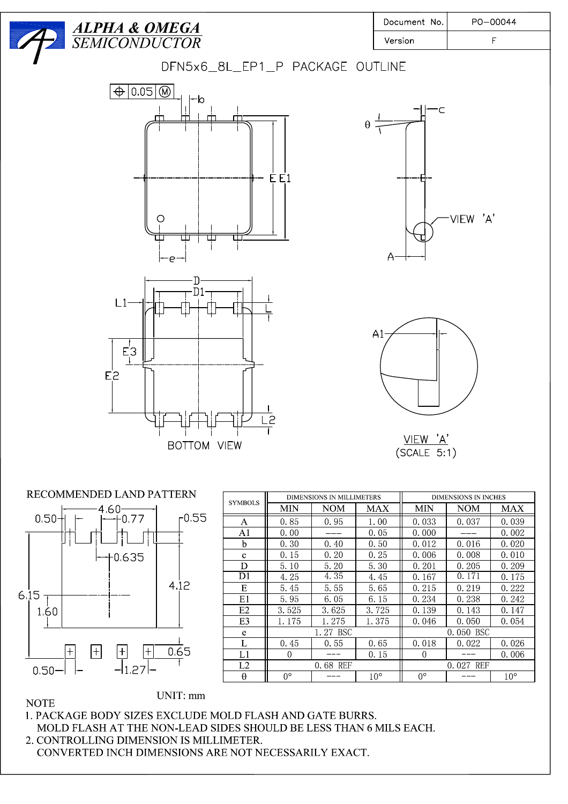



| <b>SYMBOLS</b> | <b>DIMENSIONS IN MILLIMETERS</b><br><b>DIMENSIONS IN INCHES</b> |            |       |             |            |              |  |
|----------------|-----------------------------------------------------------------|------------|-------|-------------|------------|--------------|--|
|                | MIN                                                             | <b>NOM</b> | MAX   | MIN         | <b>NOM</b> | MAX          |  |
| А              | 0.85                                                            | 0.95       | 1.00  |             | 0.037      | 0.039        |  |
| A1             | 0.00                                                            |            | 0.05  | 0.000       |            | 0.002        |  |
| b              | 0.30                                                            | 0.40       | 0.50  | 0.012       | 0.016      | 0.020        |  |
| $\mathbf{c}$   | 0.15                                                            | 0.20       | 0.25  | 0.006       | 0.008      | 0.010        |  |
| D              | 5.10                                                            | 5.20       | 5.30  | 0.201       | 0.205      | 0.209        |  |
| D1             | 4.25                                                            | 4.35       | 4.45  | 0.167       | 0.171      | 0.175        |  |
| Ε              | 5.45                                                            | 5.55       | 5.65  | 0.215       | 0.219      | 0.222        |  |
| E1             | 5.95                                                            | 6.05       | 6.15  | 0.234       | 0.238      | 0.242        |  |
| E2             | 3.525                                                           | 3.625      | 3.725 | 0.139       | 0.143      | 0.147        |  |
| E3             | 1.175                                                           | 1.275      | 1.375 | 0.046       | 0.050      | 0.054        |  |
| e              |                                                                 | 1.27 BSC   |       | 0.050 BSC   |            |              |  |
| L              | 0.45                                                            | 0.55       | 0.65  | 0.018       | 0.022      | 0.026        |  |
| L1             | $\Omega$                                                        |            | 0.15  | $\Omega$    |            | 0.006        |  |
| L2             |                                                                 | 0.68 REF   |       | 0.027 REF   |            |              |  |
| θ              | $0^{\circ}$                                                     |            |       | $0^{\circ}$ |            | $10^{\circ}$ |  |

## **NOTE**

1. PACKAGE BODY SIZES EXCLUDE MOLD FLASH AND GATE BURRS. MOLD FLASH AT THE NON-LEAD SIDES SHOULD BE LESS THAN 6 MILS EACH. 2. CONTROLLING DIMENSION IS MILLIMETER. CONVERTED INCH DIMENSIONS ARE NOT NECESSARILY EXACT.

UNIT: mm